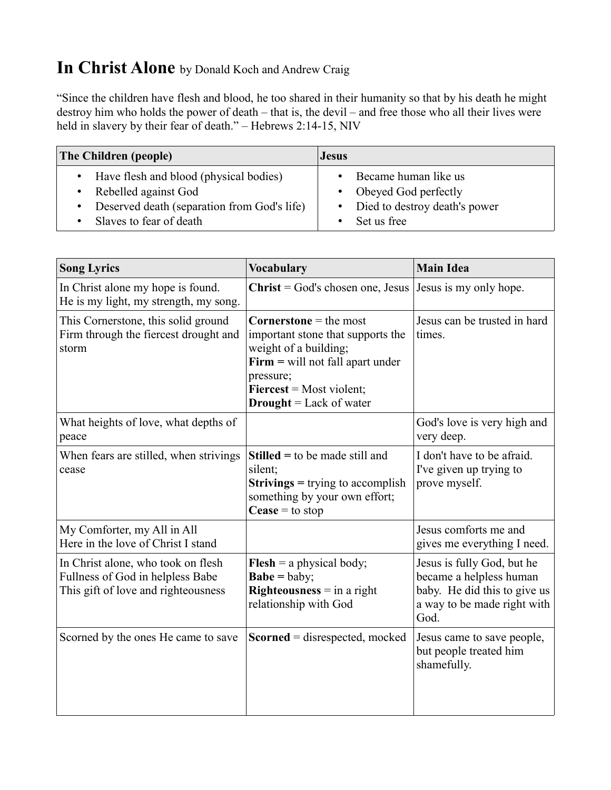## **In Christ Alone** by Donald Koch and Andrew Craig

"Since the children have flesh and blood, he too shared in their humanity so that by his death he might destroy him who holds the power of death – that is, the devil – and free those who all their lives were held in slavery by their fear of death." – Hebrews 2:14-15, NIV

| <b>The Children (people)</b>                        | <b>Jesus</b>                    |
|-----------------------------------------------------|---------------------------------|
| Have flesh and blood (physical bodies)<br>$\bullet$ | Became human like us            |
| Rebelled against God                                | • Obeyed God perfectly          |
| • Deserved death (separation from God's life)       | • Died to destroy death's power |
| Slaves to fear of death                             | Set us free                     |

| <b>Song Lyrics</b>                                                                                            | <b>Vocabulary</b>                                                                                                                                                                                              | <b>Main Idea</b>                                                                                                             |
|---------------------------------------------------------------------------------------------------------------|----------------------------------------------------------------------------------------------------------------------------------------------------------------------------------------------------------------|------------------------------------------------------------------------------------------------------------------------------|
| In Christ alone my hope is found.<br>He is my light, my strength, my song.                                    | $Christ = God's chosen one, Jesus$                                                                                                                                                                             | Jesus is my only hope.                                                                                                       |
| This Cornerstone, this solid ground<br>Firm through the fiercest drought and<br>storm                         | <b>Cornerstone</b> = the most<br>important stone that supports the<br>weight of a building;<br>$Firm = will not fall apart under$<br>pressure;<br>$Fiercest = Most violent;$<br><b>Drought</b> = Lack of water | Jesus can be trusted in hard<br>times.                                                                                       |
| What heights of love, what depths of<br>peace                                                                 |                                                                                                                                                                                                                | God's love is very high and<br>very deep.                                                                                    |
| When fears are stilled, when strivings<br>cease                                                               | <b>Stilled</b> = to be made still and<br>silent;<br><b>Strivings</b> = trying to accomplish<br>something by your own effort;<br>Cease = to stop                                                                | I don't have to be afraid.<br>I've given up trying to<br>prove myself.                                                       |
| My Comforter, my All in All<br>Here in the love of Christ I stand                                             |                                                                                                                                                                                                                | Jesus comforts me and<br>gives me everything I need.                                                                         |
| In Christ alone, who took on flesh<br>Fullness of God in helpless Babe<br>This gift of love and righteousness | <b>Flesh</b> = a physical body;<br>$Babe = baby;$<br><b>Righteousness</b> $=$ in a right<br>relationship with God                                                                                              | Jesus is fully God, but he<br>became a helpless human<br>baby. He did this to give us<br>a way to be made right with<br>God. |
| Scorned by the ones He came to save                                                                           | $Scorned = disrespected, mocked$                                                                                                                                                                               | Jesus came to save people,<br>but people treated him<br>shamefully.                                                          |